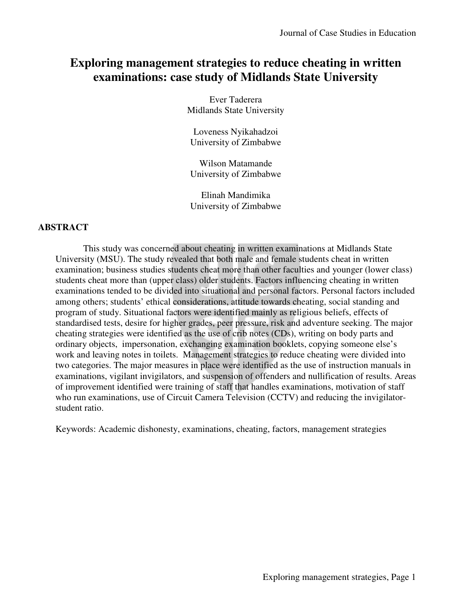# **Exploring management strategies to reduce cheating in written examinations: case study of Midlands State University**

Ever Taderera Midlands State University

Loveness Nyikahadzoi University of Zimbabwe

Wilson Matamande University of Zimbabwe

Elinah Mandimika University of Zimbabwe

## **ABSTRACT**

This study was concerned about cheating in written examinations at Midlands State University (MSU). The study revealed that both male and female students cheat in written examination; business studies students cheat more than other faculties and younger (lower class) students cheat more than (upper class) older students. Factors influencing cheating in written examinations tended to be divided into situational and personal factors. Personal factors included among others; students' ethical considerations, attitude towards cheating, social standing and program of study. Situational factors were identified mainly as religious beliefs, effects of standardised tests, desire for higher grades, peer pressure, risk and adventure seeking. The major cheating strategies were identified as the use of crib notes (CDs), writing on body parts and ordinary objects, impersonation, exchanging examination booklets, copying someone else's work and leaving notes in toilets. Management strategies to reduce cheating were divided into two categories. The major measures in place were identified as the use of instruction manuals in examinations, vigilant invigilators, and suspension of offenders and nullification of results. Areas of improvement identified were training of staff that handles examinations, motivation of staff who run examinations, use of Circuit Camera Television (CCTV) and reducing the invigilatorstudent ratio.

Keywords: Academic dishonesty, examinations, cheating, factors, management strategies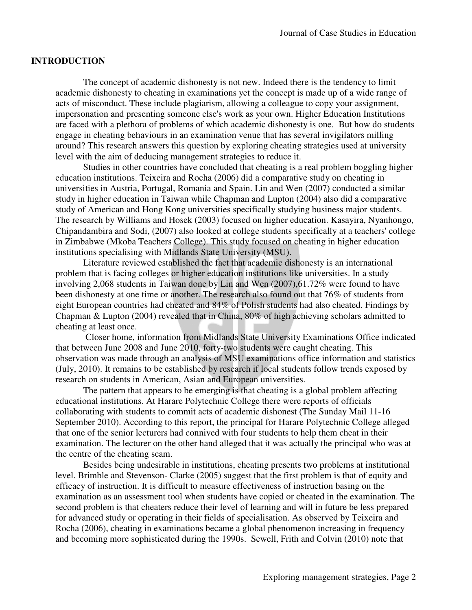## **INTRODUCTION**

The concept of academic dishonesty is not new. Indeed there is the tendency to limit academic dishonesty to cheating in examinations yet the concept is made up of a wide range of acts of misconduct. These include plagiarism, allowing a colleague to copy your assignment, impersonation and presenting someone else's work as your own. Higher Education Institutions are faced with a plethora of problems of which academic dishonesty is one. But how do students engage in cheating behaviours in an examination venue that has several invigilators milling around? This research answers this question by exploring cheating strategies used at university level with the aim of deducing management strategies to reduce it.

Studies in other countries have concluded that cheating is a real problem boggling higher education institutions. Teixeira and Rocha (2006) did a comparative study on cheating in universities in Austria, Portugal, Romania and Spain. Lin and Wen (2007) conducted a similar study in higher education in Taiwan while Chapman and Lupton (2004) also did a comparative study of American and Hong Kong universities specifically studying business major students. The research by Williams and Hosek (2003) focused on higher education. Kasayira, Nyanhongo, Chipandambira and Sodi, (2007) also looked at college students specifically at a teachers' college in Zimbabwe (Mkoba Teachers College). This study focused on cheating in higher education institutions specialising with Midlands State University (MSU).

Literature reviewed established the fact that academic dishonesty is an international problem that is facing colleges or higher education institutions like universities. In a study involving 2,068 students in Taiwan done by Lin and Wen (2007),61.72% were found to have been dishonesty at one time or another. The research also found out that 76% of students from eight European countries had cheated and 84% of Polish students had also cheated. Findings by Chapman & Lupton (2004) revealed that in China, 80% of high achieving scholars admitted to cheating at least once.

 Closer home, information from Midlands State University Examinations Office indicated that between June 2008 and June 2010, forty-two students were caught cheating. This observation was made through an analysis of MSU examinations office information and statistics (July, 2010). It remains to be established by research if local students follow trends exposed by research on students in American, Asian and European universities.

The pattern that appears to be emerging is that cheating is a global problem affecting educational institutions. At Harare Polytechnic College there were reports of officials collaborating with students to commit acts of academic dishonest (The Sunday Mail 11-16 September 2010). According to this report, the principal for Harare Polytechnic College alleged that one of the senior lecturers had connived with four students to help them cheat in their examination. The lecturer on the other hand alleged that it was actually the principal who was at the centre of the cheating scam.

Besides being undesirable in institutions, cheating presents two problems at institutional level. Brimble and Stevenson- Clarke (2005) suggest that the first problem is that of equity and efficacy of instruction. It is difficult to measure effectiveness of instruction basing on the examination as an assessment tool when students have copied or cheated in the examination. The second problem is that cheaters reduce their level of learning and will in future be less prepared for advanced study or operating in their fields of specialisation. As observed by Teixeira and Rocha (2006), cheating in examinations became a global phenomenon increasing in frequency and becoming more sophisticated during the 1990s. Sewell, Frith and Colvin (2010) note that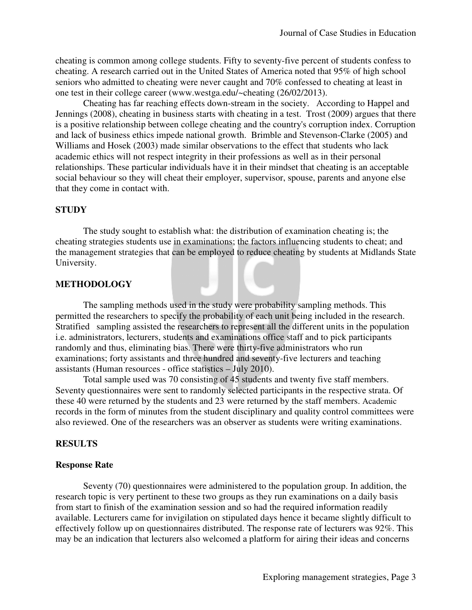cheating is common among college students. Fifty to seventy-five percent of students confess to cheating. A research carried out in the United States of America noted that 95% of high school seniors who admitted to cheating were never caught and 70% confessed to cheating at least in one test in their college career (www.westga.edu/~cheating (26/02/2013).

Cheating has far reaching effects down-stream in the society. According to Happel and Jennings (2008), cheating in business starts with cheating in a test. Trost (2009) argues that there is a positive relationship between college cheating and the country's corruption index. Corruption and lack of business ethics impede national growth. Brimble and Stevenson-Clarke (2005) and Williams and Hosek (2003) made similar observations to the effect that students who lack academic ethics will not respect integrity in their professions as well as in their personal relationships. These particular individuals have it in their mindset that cheating is an acceptable social behaviour so they will cheat their employer, supervisor, spouse, parents and anyone else that they come in contact with.

#### **STUDY**

The study sought to establish what: the distribution of examination cheating is; the cheating strategies students use in examinations; the factors influencing students to cheat; and the management strategies that can be employed to reduce cheating by students at Midlands State University.

#### **METHODOLOGY**

The sampling methods used in the study were probability sampling methods. This permitted the researchers to specify the probability of each unit being included in the research. Stratified sampling assisted the researchers to represent all the different units in the population i.e. administrators, lecturers, students and examinations office staff and to pick participants randomly and thus, eliminating bias. There were thirty-five administrators who run examinations; forty assistants and three hundred and seventy-five lecturers and teaching assistants (Human resources - office statistics – July 2010).

Total sample used was 70 consisting of 45 students and twenty five staff members. Seventy questionnaires were sent to randomly selected participants in the respective strata. Of these 40 were returned by the students and 23 were returned by the staff members. Academic records in the form of minutes from the student disciplinary and quality control committees were also reviewed. One of the researchers was an observer as students were writing examinations.

#### **RESULTS**

#### **Response Rate**

Seventy (70) questionnaires were administered to the population group. In addition, the research topic is very pertinent to these two groups as they run examinations on a daily basis from start to finish of the examination session and so had the required information readily available. Lecturers came for invigilation on stipulated days hence it became slightly difficult to effectively follow up on questionnaires distributed. The response rate of lecturers was 92%. This may be an indication that lecturers also welcomed a platform for airing their ideas and concerns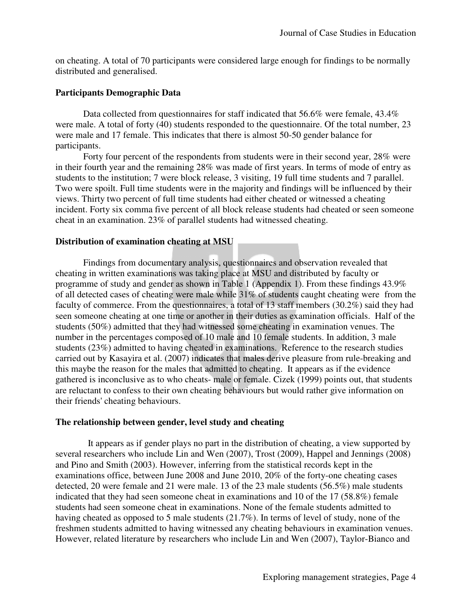on cheating. A total of 70 participants were considered large enough for findings to be normally distributed and generalised.

## **Participants Demographic Data**

Data collected from questionnaires for staff indicated that 56.6% were female, 43.4% were male. A total of forty (40) students responded to the questionnaire. Of the total number, 23 were male and 17 female. This indicates that there is almost 50-50 gender balance for participants.

Forty four percent of the respondents from students were in their second year, 28% were in their fourth year and the remaining 28% was made of first years. In terms of mode of entry as students to the institution; 7 were block release, 3 visiting, 19 full time students and 7 parallel. Two were spoilt. Full time students were in the majority and findings will be influenced by their views. Thirty two percent of full time students had either cheated or witnessed a cheating incident. Forty six comma five percent of all block release students had cheated or seen someone cheat in an examination. 23% of parallel students had witnessed cheating.

## **Distribution of examination cheating at MSU**

Findings from documentary analysis, questionnaires and observation revealed that cheating in written examinations was taking place at MSU and distributed by faculty or programme of study and gender as shown in Table 1 (Appendix 1). From these findings 43.9% of all detected cases of cheating were male while 31% of students caught cheating were from the faculty of commerce. From the questionnaires, a total of 13 staff members (30.2%) said they had seen someone cheating at one time or another in their duties as examination officials. Half of the students (50%) admitted that they had witnessed some cheating in examination venues. The number in the percentages composed of 10 male and 10 female students. In addition, 3 male students (23%) admitted to having cheated in examinations. Reference to the research studies carried out by Kasayira et al. (2007) indicates that males derive pleasure from rule-breaking and this maybe the reason for the males that admitted to cheating. It appears as if the evidence gathered is inconclusive as to who cheats- male or female. Cizek (1999) points out, that students are reluctant to confess to their own cheating behaviours but would rather give information on their friends' cheating behaviours.

## **The relationship between gender, level study and cheating**

 It appears as if gender plays no part in the distribution of cheating, a view supported by several researchers who include Lin and Wen (2007), Trost (2009), Happel and Jennings (2008) and Pino and Smith (2003). However, inferring from the statistical records kept in the examinations office, between June 2008 and June 2010, 20% of the forty-one cheating cases detected, 20 were female and 21 were male. 13 of the 23 male students (56.5%) male students indicated that they had seen someone cheat in examinations and 10 of the 17 (58.8%) female students had seen someone cheat in examinations. None of the female students admitted to having cheated as opposed to 5 male students (21.7%). In terms of level of study, none of the freshmen students admitted to having witnessed any cheating behaviours in examination venues. However, related literature by researchers who include Lin and Wen (2007), Taylor-Bianco and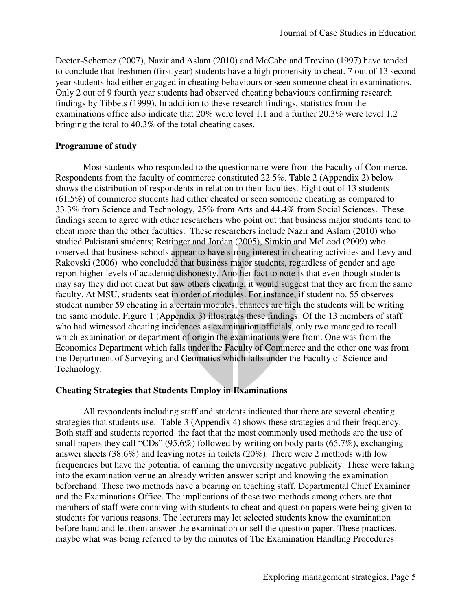Deeter-Schemez (2007), Nazir and Aslam (2010) and McCabe and Trevino (1997) have tended to conclude that freshmen (first year) students have a high propensity to cheat. 7 out of 13 second year students had either engaged in cheating behaviours or seen someone cheat in examinations. Only 2 out of 9 fourth year students had observed cheating behaviours confirming research findings by Tibbets (1999). In addition to these research findings, statistics from the examinations office also indicate that 20% were level 1.1 and a further 20.3% were level 1.2 bringing the total to 40.3% of the total cheating cases.

## **Programme of study**

Most students who responded to the questionnaire were from the Faculty of Commerce. Respondents from the faculty of commerce constituted 22.5%. Table 2 (Appendix 2) below shows the distribution of respondents in relation to their faculties. Eight out of 13 students (61.5%) of commerce students had either cheated or seen someone cheating as compared to 33.3% from Science and Technology, 25% from Arts and 44.4% from Social Sciences. These findings seem to agree with other researchers who point out that business major students tend to cheat more than the other faculties. These researchers include Nazir and Aslam (2010) who studied Pakistani students; Rettinger and Jordan (2005), Simkin and McLeod (2009) who observed that business schools appear to have strong interest in cheating activities and Levy and Rakovski (2006) who concluded that business major students, regardless of gender and age report higher levels of academic dishonesty. Another fact to note is that even though students may say they did not cheat but saw others cheating, it would suggest that they are from the same faculty. At MSU, students seat in order of modules. For instance, if student no. 55 observes student number 59 cheating in a certain modules, chances are high the students will be writing the same module. Figure 1 (Appendix 3) illustrates these findings. Of the 13 members of staff who had witnessed cheating incidences as examination officials, only two managed to recall which examination or department of origin the examinations were from. One was from the Economics Department which falls under the Faculty of Commerce and the other one was from the Department of Surveying and Geomatics which falls under the Faculty of Science and Technology.

## **Cheating Strategies that Students Employ in Examinations**

All respondents including staff and students indicated that there are several cheating strategies that students use. Table 3 (Appendix 4) shows these strategies and their frequency. Both staff and students reported the fact that the most commonly used methods are the use of small papers they call "CDs" (95.6%) followed by writing on body parts (65.7%), exchanging answer sheets (38.6%) and leaving notes in toilets (20%). There were 2 methods with low frequencies but have the potential of earning the university negative publicity. These were taking into the examination venue an already written answer script and knowing the examination beforehand. These two methods have a bearing on teaching staff, Departmental Chief Examiner and the Examinations Office. The implications of these two methods among others are that members of staff were conniving with students to cheat and question papers were being given to students for various reasons. The lecturers may let selected students know the examination before hand and let them answer the examination or sell the question paper. These practices, maybe what was being referred to by the minutes of The Examination Handling Procedures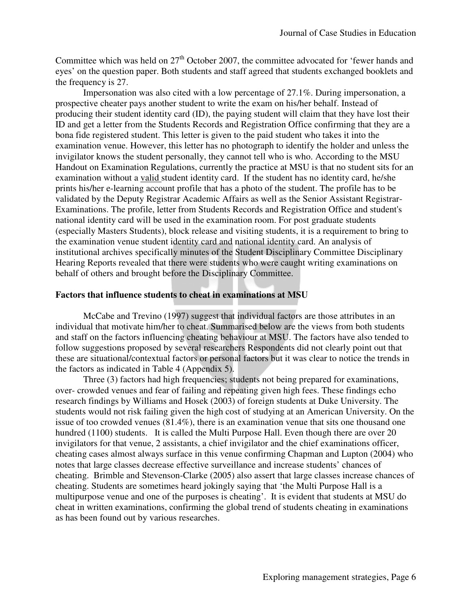Committee which was held on  $27<sup>th</sup>$  October 2007, the committee advocated for 'fewer hands and eyes' on the question paper. Both students and staff agreed that students exchanged booklets and the frequency is 27.

Impersonation was also cited with a low percentage of 27.1%. During impersonation, a prospective cheater pays another student to write the exam on his/her behalf. Instead of producing their student identity card (ID), the paying student will claim that they have lost their ID and get a letter from the Students Records and Registration Office confirming that they are a bona fide registered student. This letter is given to the paid student who takes it into the examination venue. However, this letter has no photograph to identify the holder and unless the invigilator knows the student personally, they cannot tell who is who. According to the MSU Handout on Examination Regulations, currently the practice at MSU is that no student sits for an examination without a valid student identity card. If the student has no identity card, he/she prints his/her e-learning account profile that has a photo of the student. The profile has to be validated by the Deputy Registrar Academic Affairs as well as the Senior Assistant Registrar-Examinations. The profile, letter from Students Records and Registration Office and student's national identity card will be used in the examination room. For post graduate students (especially Masters Students), block release and visiting students, it is a requirement to bring to the examination venue student identity card and national identity card. An analysis of institutional archives specifically minutes of the Student Disciplinary Committee Disciplinary Hearing Reports revealed that there were students who were caught writing examinations on behalf of others and brought before the Disciplinary Committee.

### **Factors that influence students to cheat in examinations at MSU**

McCabe and Trevino (1997) suggest that individual factors are those attributes in an individual that motivate him/her to cheat. Summarised below are the views from both students and staff on the factors influencing cheating behaviour at MSU. The factors have also tended to follow suggestions proposed by several researchers Respondents did not clearly point out that these are situational/contextual factors or personal factors but it was clear to notice the trends in the factors as indicated in Table 4 (Appendix 5).

Three (3) factors had high frequencies; students not being prepared for examinations, over- crowded venues and fear of failing and repeating given high fees. These findings echo research findings by Williams and Hosek (2003) of foreign students at Duke University. The students would not risk failing given the high cost of studying at an American University. On the issue of too crowded venues (81.4%), there is an examination venue that sits one thousand one hundred (1100) students. It is called the Multi Purpose Hall. Even though there are over 20 invigilators for that venue, 2 assistants, a chief invigilator and the chief examinations officer, cheating cases almost always surface in this venue confirming Chapman and Lupton (2004) who notes that large classes decrease effective surveillance and increase students' chances of cheating. Brimble and Stevenson-Clarke (2005) also assert that large classes increase chances of cheating. Students are sometimes heard jokingly saying that 'the Multi Purpose Hall is a multipurpose venue and one of the purposes is cheating'. It is evident that students at MSU do cheat in written examinations, confirming the global trend of students cheating in examinations as has been found out by various researches.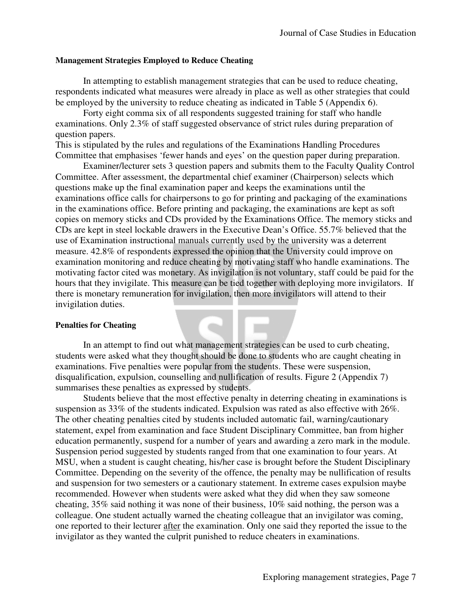#### **Management Strategies Employed to Reduce Cheating**

In attempting to establish management strategies that can be used to reduce cheating, respondents indicated what measures were already in place as well as other strategies that could be employed by the university to reduce cheating as indicated in Table 5 (Appendix 6).

Forty eight comma six of all respondents suggested training for staff who handle examinations. Only 2.3% of staff suggested observance of strict rules during preparation of question papers.

This is stipulated by the rules and regulations of the Examinations Handling Procedures Committee that emphasises 'fewer hands and eyes' on the question paper during preparation.

Examiner/lecturer sets 3 question papers and submits them to the Faculty Quality Control Committee. After assessment, the departmental chief examiner (Chairperson) selects which questions make up the final examination paper and keeps the examinations until the examinations office calls for chairpersons to go for printing and packaging of the examinations in the examinations office. Before printing and packaging, the examinations are kept as soft copies on memory sticks and CDs provided by the Examinations Office. The memory sticks and CDs are kept in steel lockable drawers in the Executive Dean's Office. 55.7% believed that the use of Examination instructional manuals currently used by the university was a deterrent measure. 42.8% of respondents expressed the opinion that the University could improve on examination monitoring and reduce cheating by motivating staff who handle examinations. The motivating factor cited was monetary. As invigilation is not voluntary, staff could be paid for the hours that they invigilate. This measure can be tied together with deploying more invigilators. If there is monetary remuneration for invigilation, then more invigilators will attend to their invigilation duties.

#### **Penalties for Cheating**

In an attempt to find out what management strategies can be used to curb cheating, students were asked what they thought should be done to students who are caught cheating in examinations. Five penalties were popular from the students. These were suspension, disqualification, expulsion, counselling and nullification of results. Figure 2 (Appendix 7) summarises these penalties as expressed by students.

Students believe that the most effective penalty in deterring cheating in examinations is suspension as 33% of the students indicated. Expulsion was rated as also effective with 26%. The other cheating penalties cited by students included automatic fail, warning/cautionary statement, expel from examination and face Student Disciplinary Committee, ban from higher education permanently, suspend for a number of years and awarding a zero mark in the module. Suspension period suggested by students ranged from that one examination to four years. At MSU, when a student is caught cheating, his/her case is brought before the Student Disciplinary Committee. Depending on the severity of the offence, the penalty may be nullification of results and suspension for two semesters or a cautionary statement. In extreme cases expulsion maybe recommended. However when students were asked what they did when they saw someone cheating, 35% said nothing it was none of their business, 10% said nothing, the person was a colleague. One student actually warned the cheating colleague that an invigilator was coming, one reported to their lecturer after the examination. Only one said they reported the issue to the invigilator as they wanted the culprit punished to reduce cheaters in examinations.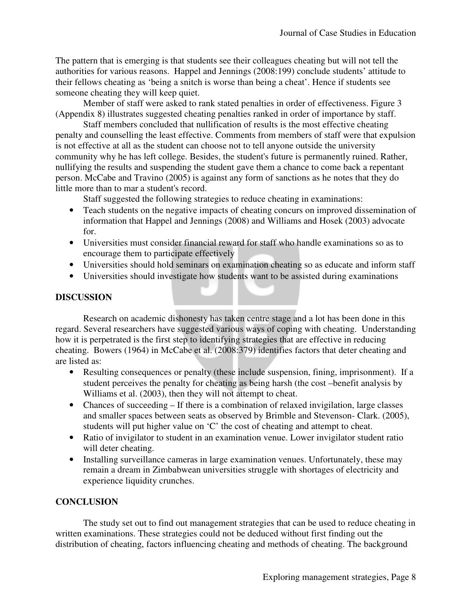The pattern that is emerging is that students see their colleagues cheating but will not tell the authorities for various reasons. Happel and Jennings (2008:199) conclude students' attitude to their fellows cheating as 'being a snitch is worse than being a cheat'. Hence if students see someone cheating they will keep quiet.

Member of staff were asked to rank stated penalties in order of effectiveness. Figure 3 (Appendix 8) illustrates suggested cheating penalties ranked in order of importance by staff.

Staff members concluded that nullification of results is the most effective cheating penalty and counselling the least effective. Comments from members of staff were that expulsion is not effective at all as the student can choose not to tell anyone outside the university community why he has left college. Besides, the student's future is permanently ruined. Rather, nullifying the results and suspending the student gave them a chance to come back a repentant person. McCabe and Travino (2005) is against any form of sanctions as he notes that they do little more than to mar a student's record.

Staff suggested the following strategies to reduce cheating in examinations:

- Teach students on the negative impacts of cheating concurs on improved dissemination of information that Happel and Jennings (2008) and Williams and Hosek (2003) advocate for.
- Universities must consider financial reward for staff who handle examinations so as to encourage them to participate effectively
- Universities should hold seminars on examination cheating so as educate and inform staff
- Universities should investigate how students want to be assisted during examinations

# **DISCUSSION**

Research on academic dishonesty has taken centre stage and a lot has been done in this regard. Several researchers have suggested various ways of coping with cheating. Understanding how it is perpetrated is the first step to identifying strategies that are effective in reducing cheating. Bowers (1964) in McCabe et al. (2008:379) identifies factors that deter cheating and are listed as:

- Resulting consequences or penalty (these include suspension, fining, imprisonment). If a student perceives the penalty for cheating as being harsh (the cost –benefit analysis by Williams et al. (2003), then they will not attempt to cheat.
- Chances of succeeding If there is a combination of relaxed invigilation, large classes and smaller spaces between seats as observed by Brimble and Stevenson- Clark. (2005), students will put higher value on 'C' the cost of cheating and attempt to cheat.
- Ratio of invigilator to student in an examination venue. Lower invigilator student ratio will deter cheating.
- Installing surveillance cameras in large examination venues. Unfortunately, these may remain a dream in Zimbabwean universities struggle with shortages of electricity and experience liquidity crunches.

# **CONCLUSION**

The study set out to find out management strategies that can be used to reduce cheating in written examinations. These strategies could not be deduced without first finding out the distribution of cheating, factors influencing cheating and methods of cheating. The background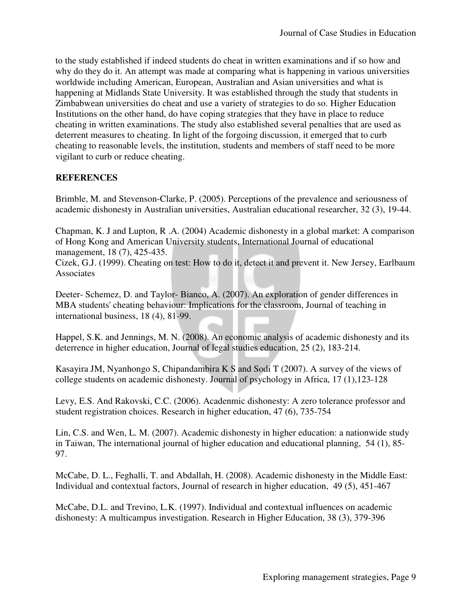to the study established if indeed students do cheat in written examinations and if so how and why do they do it. An attempt was made at comparing what is happening in various universities worldwide including American, European, Australian and Asian universities and what is happening at Midlands State University. It was established through the study that students in Zimbabwean universities do cheat and use a variety of strategies to do so. Higher Education Institutions on the other hand, do have coping strategies that they have in place to reduce cheating in written examinations. The study also established several penalties that are used as deterrent measures to cheating. In light of the forgoing discussion, it emerged that to curb cheating to reasonable levels, the institution, students and members of staff need to be more vigilant to curb or reduce cheating.

# **REFERENCES**

Brimble, M. and Stevenson-Clarke, P. (2005). Perceptions of the prevalence and seriousness of academic dishonesty in Australian universities, Australian educational researcher, 32 (3), 19-44.

Chapman, K. J and Lupton, R .A. (2004) Academic dishonesty in a global market: A comparison of Hong Kong and American University students, International Journal of educational management, 18 (7), 425-435.

Cizek, G.J. (1999). Cheating on test: How to do it, detect it and prevent it. New Jersey, Earlbaum **Associates** 

Deeter- Schemez, D. and Taylor- Bianco, A. (2007). An exploration of gender differences in MBA students' cheating behaviour: Implications for the classroom, Journal of teaching in international business, 18 (4), 81-99.

Happel, S.K. and Jennings, M. N. (2008). An economic analysis of academic dishonesty and its deterrence in higher education, Journal of legal studies education, 25 (2), 183-214.

Kasayira JM, Nyanhongo S, Chipandambira K S and Sodi T (2007). A survey of the views of college students on academic dishonesty. Journal of psychology in Africa, 17 (1),123-128

Levy, E.S. And Rakovski, C.C. (2006). Acadenmic dishonesty: A zero tolerance professor and student registration choices. Research in higher education, 47 (6), 735-754

Lin, C.S. and Wen, L. M. (2007). Academic dishonesty in higher education: a nationwide study in Taiwan, The international journal of higher education and educational planning, 54 (1), 85- 97.

McCabe, D. L., Feghalli, T. and Abdallah, H. (2008). Academic dishonesty in the Middle East: Individual and contextual factors, Journal of research in higher education, 49 (5), 451-467

McCabe, D.L. and Trevino, L.K. (1997). Individual and contextual influences on academic dishonesty: A multicampus investigation. Research in Higher Education, 38 (3), 379-396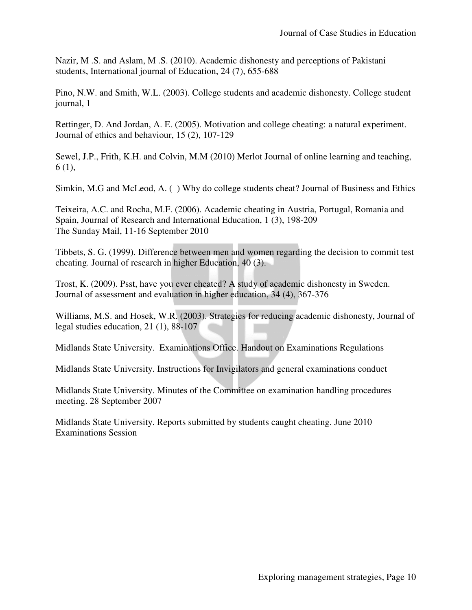Nazir, M .S. and Aslam, M .S. (2010). Academic dishonesty and perceptions of Pakistani students, International journal of Education, 24 (7), 655-688

Pino, N.W. and Smith, W.L. (2003). College students and academic dishonesty. College student journal, 1

Rettinger, D. And Jordan, A. E. (2005). Motivation and college cheating: a natural experiment. Journal of ethics and behaviour, 15 (2), 107-129

Sewel, J.P., Frith, K.H. and Colvin, M.M (2010) Merlot Journal of online learning and teaching, 6 (1),

Simkin, M.G and McLeod, A. ( ) Why do college students cheat? Journal of Business and Ethics

Teixeira, A.C. and Rocha, M.F. (2006). Academic cheating in Austria, Portugal, Romania and Spain, Journal of Research and International Education, 1 (3), 198-209 The Sunday Mail, 11-16 September 2010

Tibbets, S. G. (1999). Difference between men and women regarding the decision to commit test cheating. Journal of research in higher Education, 40 (3).

Trost, K. (2009). Psst, have you ever cheated? A study of academic dishonesty in Sweden. Journal of assessment and evaluation in higher education, 34 (4), 367-376

Williams, M.S. and Hosek, W.R. (2003). Strategies for reducing academic dishonesty, Journal of legal studies education, 21 (1), 88-107

Midlands State University. Examinations Office. Handout on Examinations Regulations

Midlands State University. Instructions for Invigilators and general examinations conduct

Midlands State University. Minutes of the Committee on examination handling procedures meeting. 28 September 2007

Midlands State University. Reports submitted by students caught cheating. June 2010 Examinations Session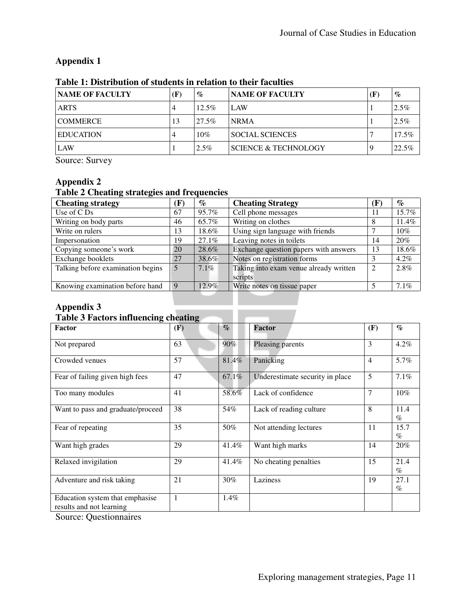# **Appendix 1**

| <b>NAME OF FACULTY</b> | (F) | $\%$     | <b>NAME OF FACULTY</b>          | Œ | $\%$     |
|------------------------|-----|----------|---------------------------------|---|----------|
| <b>ARTS</b>            | 4   | $12.5\%$ | LAW                             |   | 2.5%     |
| <b>COMMERCE</b>        | 13  | $27.5\%$ | <b>NRMA</b>                     |   | 2.5%     |
| <b>EDUCATION</b>       | 4   | 10%      | <b>SOCIAL SCIENCES</b>          |   | $17.5\%$ |
| LAW                    |     | $2.5\%$  | <b>SCIENCE &amp; TECHNOLOGY</b> |   | 22.5%    |

## **Table 1: Distribution of students in relation to their faculties**

Source: Survey

# **Appendix 2**

# **Table 2 Cheating strategies and frequencies**

| <b>Cheating strategy</b>          | $\bf F)$ | $\%$    | <b>Cheating Strategy</b>               | (F)          | $\%$    |
|-----------------------------------|----------|---------|----------------------------------------|--------------|---------|
| Use of C Ds                       | 67       | 95.7%   | Cell phone messages                    | $\mathbf{H}$ | 15.7%   |
| Writing on body parts             | 46       | 65.7%   | Writing on clothes                     |              | 11.4%   |
| Write on rulers                   | 13       | 18.6%   | Using sign language with friends       |              | 10%     |
| Impersonation                     | 19       | 27.1%   | Leaving notes in toilets               | 14           | 20%     |
| Copying someone's work            | 20       | 28.6%   | Exchange question papers with answers  | 13           | 18.6%   |
| Exchange booklets                 | 27       | 38.6%   | Notes on registration forms            |              | $4.2\%$ |
| Talking before examination begins | 5        | $7.1\%$ | Taking into exam venue already written |              | 2.8%    |
|                                   |          |         | scripts                                |              |         |
| Knowing examination before hand   |          | 12.9%   | Write notes on tissue paper            |              | 7.1%    |

# **Appendix 3**

# **Table 3 Factors influencing cheating**

| 0<br><b>Factor</b>                                          | o.<br>(F) | $\mathcal{O}_{\mathcal{O}}$ | Factor                          | (F)            | $\mathcal{O}_0$ |
|-------------------------------------------------------------|-----------|-----------------------------|---------------------------------|----------------|-----------------|
| Not prepared                                                | 63        | 90%                         | Pleasing parents                | 3              | $4.2\%$         |
| Crowded venues                                              | 57        | 81.4%                       | Panicking                       | $\overline{4}$ | 5.7%            |
| Fear of failing given high fees                             | 47        | 67.1%                       | Underestimate security in place | 5              | 7.1%            |
| Too many modules                                            | 41        | 58.6%                       | Lack of confidence              | $\overline{7}$ | $10\%$          |
| Want to pass and graduate/proceed                           | 38        | 54%                         | Lack of reading culture         | 8              | 11.4<br>$\%$    |
| Fear of repeating                                           | 35        | 50%                         | Not attending lectures          | 11             | 15.7<br>$\%$    |
| Want high grades                                            | 29        | 41.4%                       | Want high marks                 | 14             | 20%             |
| Relaxed invigilation                                        | 29        | 41.4%                       | No cheating penalties           | 15             | 21.4<br>$\%$    |
| Adventure and risk taking                                   | 21        | 30%                         | Laziness                        | 19             | 27.1<br>$\%$    |
| Education system that emphasise<br>results and not learning | 1         | 1.4%                        |                                 |                |                 |

Source: Questionnaires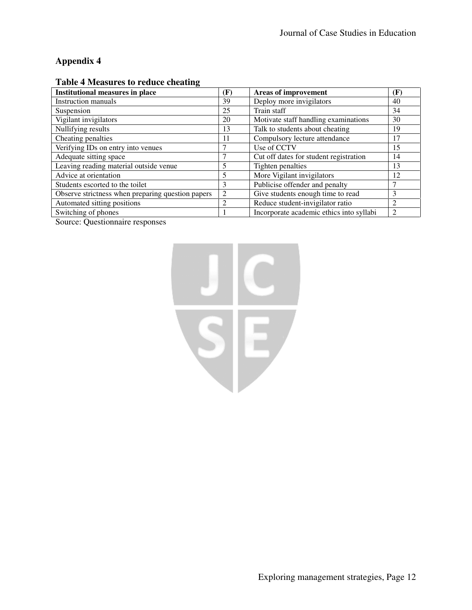# **Appendix 4**

| <b>Institutional measures in place</b>            | (F) | <b>Areas of improvement</b>              | (F)            |
|---------------------------------------------------|-----|------------------------------------------|----------------|
| <b>Instruction manuals</b>                        | 39  | Deploy more invigilators                 | 40             |
| Suspension                                        | 25  | Train staff                              | 34             |
| Vigilant invigilators                             | 20  | Motivate staff handling examinations     | 30             |
| Nullifying results                                | 13  | Talk to students about cheating          | 19             |
| Cheating penalties                                | 11  | Compulsory lecture attendance            | 17             |
| Verifying IDs on entry into venues                |     | Use of CCTV                              | 15             |
| Adequate sitting space                            |     | Cut off dates for student registration   | 14             |
| Leaving reading material outside venue            |     | Tighten penalties                        | 13             |
| Advice at orientation                             | 5   | More Vigilant invigilators               | 12             |
| Students escorted to the toilet                   | 3   | Publicise offender and penalty           |                |
| Observe strictness when preparing question papers | 2   | Give students enough time to read        | 3              |
| Automated sitting positions                       | 2   | Reduce student-invigilator ratio         | $\overline{c}$ |
| Switching of phones                               |     | Incorporate academic ethics into syllabi |                |

## **Table 4 Measures to reduce cheating**

Source: Questionnaire responses